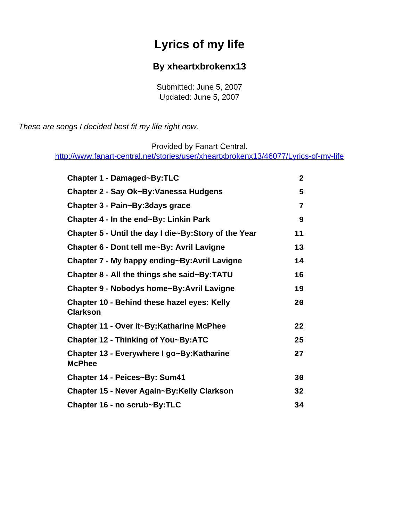# **Lyrics of my life**

## **By xheartxbrokenx13**

Submitted: June 5, 2007 Updated: June 5, 2007

<span id="page-0-0"></span>These are songs I decided best fit my life right now.

Provided by Fanart Central.

[http://www.fanart-central.net/stories/user/xheartxbrokenx13/46077/Lyrics-of-my-life](#page-0-0)

| Chapter 1 - Damaged~By:TLC                                     | 2  |
|----------------------------------------------------------------|----|
| Chapter 2 - Say Ok~By: Vanessa Hudgens                         | 5  |
| Chapter 3 - Pain~By:3days grace                                | 7  |
| Chapter 4 - In the end~By: Linkin Park                         | 9  |
| Chapter 5 - Until the day I die~By: Story of the Year          | 11 |
| Chapter 6 - Dont tell me~By: Avril Lavigne                     | 13 |
| Chapter 7 - My happy ending~By: Avril Lavigne                  | 14 |
| Chapter 8 - All the things she said~By:TATU                    | 16 |
| Chapter 9 - Nobodys home~By: Avril Lavigne                     | 19 |
| Chapter 10 - Behind these hazel eyes: Kelly<br><b>Clarkson</b> | 20 |
| Chapter 11 - Over it~By: Katharine McPhee                      | 22 |
| Chapter 12 - Thinking of You~By:ATC                            | 25 |
| Chapter 13 - Everywhere I go~By: Katharine<br><b>McPhee</b>    | 27 |
| Chapter 14 - Peices~By: Sum41                                  | 30 |
| Chapter 15 - Never Again~By: Kelly Clarkson                    | 32 |
| Chapter 16 - no scrub~By:TLC                                   | 34 |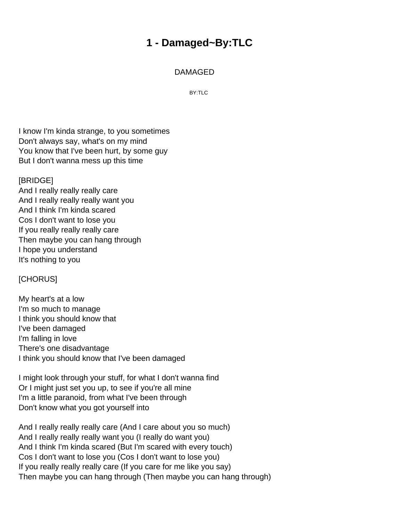# **1 - Damaged~By:TLC**

DAMAGED

<span id="page-1-0"></span>**BY:TLC** 

I know I'm kinda strange, to you sometimes Don't always say, what's on my mind You know that I've been hurt, by some guy But I don't wanna mess up this time

#### [BRIDGE]

And I really really really care And I really really really want you And I think I'm kinda scared Cos I don't want to lose you If you really really really care Then maybe you can hang through I hope you understand It's nothing to you

### [CHORUS]

My heart's at a low I'm so much to manage I think you should know that I've been damaged I'm falling in love There's one disadvantage I think you should know that I've been damaged

I might look through your stuff, for what I don't wanna find Or I might just set you up, to see if you're all mine I'm a little paranoid, from what I've been through Don't know what you got yourself into

And I really really really care (And I care about you so much) And I really really really want you (I really do want you) And I think I'm kinda scared (But I'm scared with every touch) Cos I don't want to lose you (Cos I don't want to lose you) If you really really really care (If you care for me like you say) Then maybe you can hang through (Then maybe you can hang through)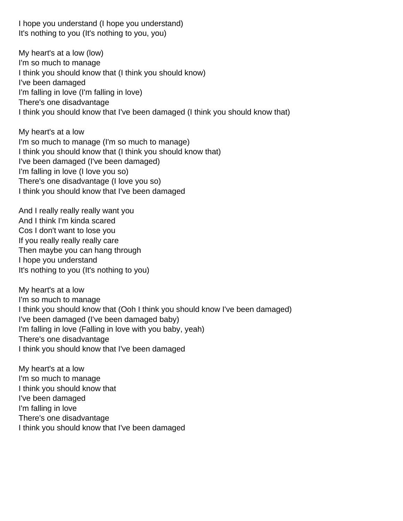I hope you understand (I hope you understand) It's nothing to you (It's nothing to you, you)

My heart's at a low (low) I'm so much to manage I think you should know that (I think you should know) I've been damaged I'm falling in love (I'm falling in love) There's one disadvantage I think you should know that I've been damaged (I think you should know that)

My heart's at a low I'm so much to manage (I'm so much to manage) I think you should know that (I think you should know that) I've been damaged (I've been damaged) I'm falling in love (I love you so) There's one disadvantage (I love you so) I think you should know that I've been damaged

And I really really really want you And I think I'm kinda scared Cos I don't want to lose you If you really really really care Then maybe you can hang through I hope you understand It's nothing to you (It's nothing to you)

My heart's at a low I'm so much to manage I think you should know that (Ooh I think you should know I've been damaged) I've been damaged (I've been damaged baby) I'm falling in love (Falling in love with you baby, yeah) There's one disadvantage I think you should know that I've been damaged

My heart's at a low I'm so much to manage I think you should know that I've been damaged I'm falling in love There's one disadvantage I think you should know that I've been damaged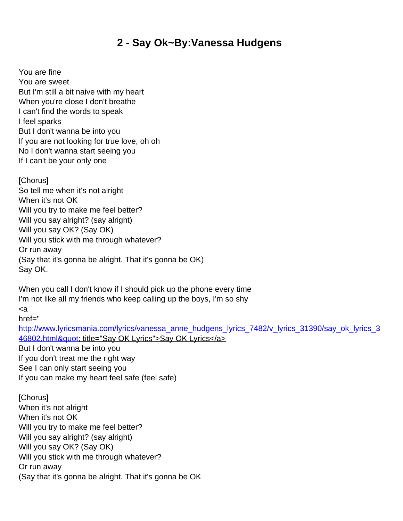# **2 - Say Ok~By:Vanessa Hudgens**

<span id="page-4-0"></span>You are fine You are sweet But I'm still a bit naive with my heart When you're close I don't breathe I can't find the words to speak I feel sparks But I don't wanna be into you If you are not looking for true love, oh oh No I don't wanna start seeing you If I can't be your only one

[Chorus] So tell me when it's not alright When it's not OK Will you try to make me feel better? Will you say alright? (say alright) Will you say OK? (Say OK) Will you stick with me through whatever? Or run away (Say that it's gonna be alright. That it's gonna be OK) Say OK.

When you call I don't know if I should pick up the phone every time I'm not like all my friends who keep calling up the boys, I'm so shy

#### <a href="

[http://www.lyricsmania.com/lyrics/vanessa\\_anne\\_hudgens\\_lyrics\\_7482/v\\_lyrics\\_31390/say\\_ok\\_lyrics\\_3](http://www.lyricsmania.com/lyrics/vanessa_anne_hudgens_lyrics_7482/v_lyrics_31390/say_ok_lyrics_346802.html") 46802.html" title="Say OK Lyrics">Say OK Lyrics</a> But I don't wanna be into you If you don't treat me the right way See I can only start seeing you If you can make my heart feel safe (feel safe)

[Chorus] When it's not alright When it's not OK Will you try to make me feel better? Will you say alright? (say alright) Will you say OK? (Say OK) Will you stick with me through whatever? Or run away (Say that it's gonna be alright. That it's gonna be OK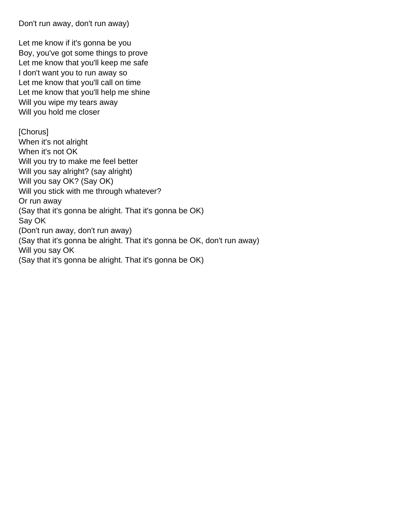Don't run away, don't run away)

Let me know if it's gonna be you Boy, you've got some things to prove Let me know that you'll keep me safe I don't want you to run away so Let me know that you'll call on time Let me know that you'll help me shine Will you wipe my tears away Will you hold me closer

[Chorus] When it's not alright When it's not OK Will you try to make me feel better Will you say alright? (say alright) Will you say OK? (Say OK) Will you stick with me through whatever? Or run away (Say that it's gonna be alright. That it's gonna be OK) Say OK (Don't run away, don't run away) (Say that it's gonna be alright. That it's gonna be OK, don't run away) Will you say OK (Say that it's gonna be alright. That it's gonna be OK)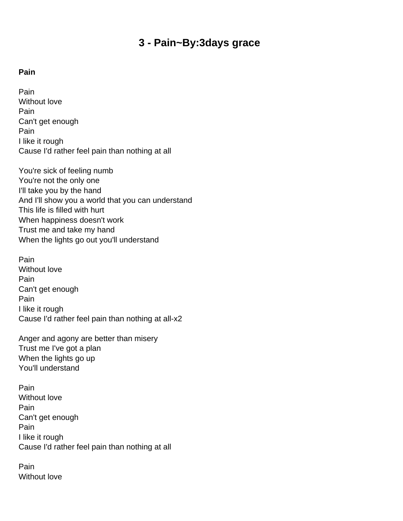# **3 - Pain~By:3days grace**

### <span id="page-6-0"></span>**Pain**

Pain Without love Pain Can't get enough Pain I like it rough Cause I'd rather feel pain than nothing at all

You're sick of feeling numb You're not the only one I'll take you by the hand And I'll show you a world that you can understand This life is filled with hurt When happiness doesn't work Trust me and take my hand When the lights go out you'll understand

Pain Without love Pain Can't get enough Pain I like it rough Cause I'd rather feel pain than nothing at all-x2

Anger and agony are better than misery Trust me I've got a plan When the lights go up You'll understand

Pain Without love Pain Can't get enough Pain I like it rough Cause I'd rather feel pain than nothing at all

Pain Without love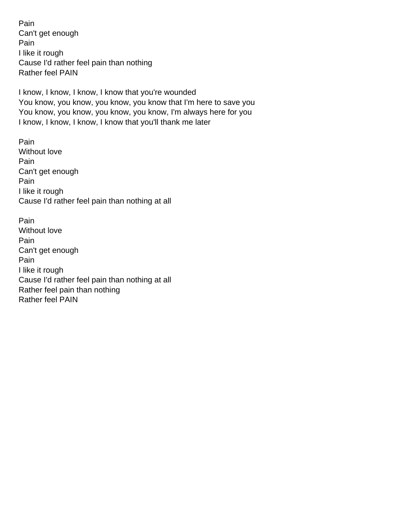Pain Can't get enough Pain I like it rough Cause I'd rather feel pain than nothing Rather feel PAIN

I know, I know, I know, I know that you're wounded You know, you know, you know, you know that I'm here to save you You know, you know, you know, you know, I'm always here for you I know, I know, I know, I know that you'll thank me later

Pain Without love Pain Can't get enough Pain I like it rough Cause I'd rather feel pain than nothing at all

Pain Without love Pain Can't get enough Pain I like it rough Cause I'd rather feel pain than nothing at all Rather feel pain than nothing Rather feel PAIN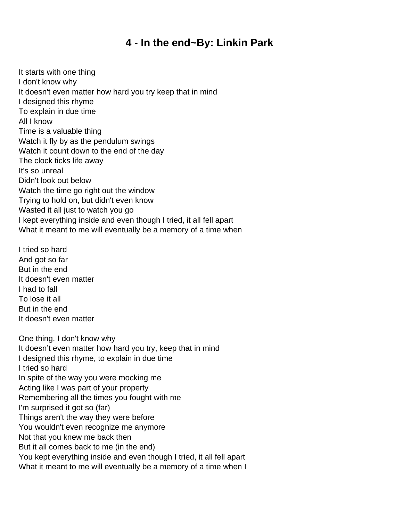## **4 - In the end~By: Linkin Park**

<span id="page-8-0"></span>It starts with one thing I don't know why It doesn't even matter how hard you try keep that in mind I designed this rhyme To explain in due time All I know Time is a valuable thing Watch it fly by as the pendulum swings Watch it count down to the end of the day The clock ticks life away It's so unreal Didn't look out below Watch the time go right out the window Trying to hold on, but didn't even know Wasted it all just to watch you go I kept everything inside and even though I tried, it all fell apart What it meant to me will eventually be a memory of a time when

I tried so hard And got so far But in the end It doesn't even matter I had to fall To lose it all But in the end It doesn't even matter

One thing, I don't know why It doesn't even matter how hard you try, keep that in mind I designed this rhyme, to explain in due time I tried so hard In spite of the way you were mocking me Acting like I was part of your property Remembering all the times you fought with me I'm surprised it got so (far) Things aren't the way they were before You wouldn't even recognize me anymore Not that you knew me back then But it all comes back to me (in the end) You kept everything inside and even though I tried, it all fell apart What it meant to me will eventually be a memory of a time when I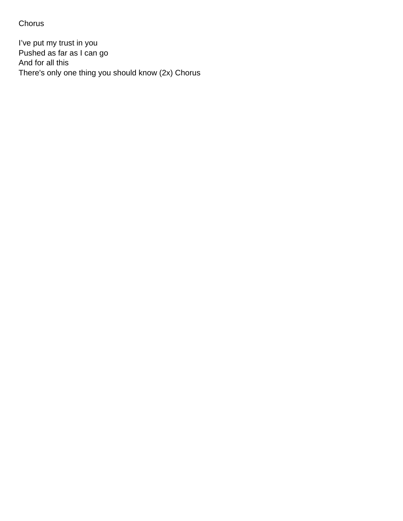Chorus

I've put my trust in you Pushed as far as I can go And for all this There's only one thing you should know (2x) Chorus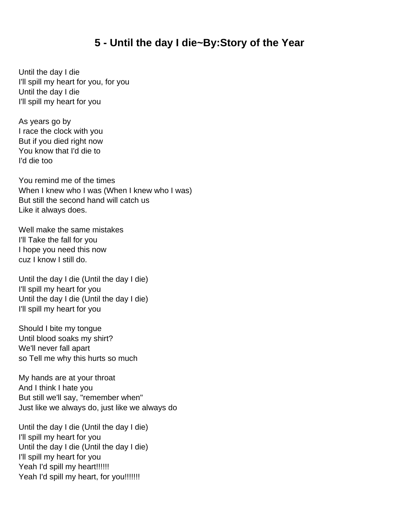## **5 - Until the day I die~By:Story of the Year**

<span id="page-10-0"></span>Until the day I die I'll spill my heart for you, for you Until the day I die I'll spill my heart for you

As years go by I race the clock with you But if you died right now You know that I'd die to I'd die too

You remind me of the times When I knew who I was (When I knew who I was) But still the second hand will catch us Like it always does.

Well make the same mistakes I'll Take the fall for you I hope you need this now cuz I know I still do.

Until the day I die (Until the day I die) I'll spill my heart for you Until the day I die (Until the day I die) I'll spill my heart for you

Should I bite my tongue Until blood soaks my shirt? We'll never fall apart so Tell me why this hurts so much

My hands are at your throat And I think I hate you But still we'll say, "remember when" Just like we always do, just like we always do

Until the day I die (Until the day I die) I'll spill my heart for you Until the day I die (Until the day I die) I'll spill my heart for you Yeah I'd spill my heart!!!!!!! Yeah I'd spill my heart, for you!!!!!!!!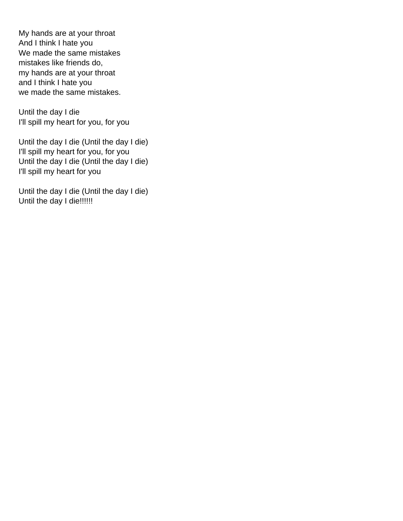My hands are at your throat And I think I hate you We made the same mistakes mistakes like friends do, my hands are at your throat and I think I hate you we made the same mistakes.

Until the day I die I'll spill my heart for you, for you

Until the day I die (Until the day I die) I'll spill my heart for you, for you Until the day I die (Until the day I die) I'll spill my heart for you

Until the day I die (Until the day I die) Until the day I die!!!!!!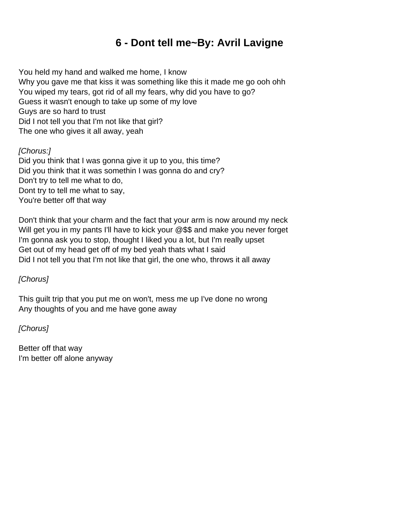# **6 - Dont tell me~By: Avril Lavigne**

<span id="page-12-0"></span>You held my hand and walked me home, I know Why you gave me that kiss it was something like this it made me go ooh ohh You wiped my tears, got rid of all my fears, why did you have to go? Guess it wasn't enough to take up some of my love Guys are so hard to trust Did I not tell you that I'm not like that girl? The one who gives it all away, yeah

### [Chorus:]

Did you think that I was gonna give it up to you, this time? Did you think that it was somethin I was gonna do and cry? Don't try to tell me what to do, Dont try to tell me what to say, You're better off that way

Don't think that your charm and the fact that your arm is now around my neck Will get you in my pants I'll have to kick your @\$\$ and make you never forget I'm gonna ask you to stop, thought I liked you a lot, but I'm really upset Get out of my head get off of my bed yeah thats what I said Did I not tell you that I'm not like that girl, the one who, throws it all away

[Chorus]

This guilt trip that you put me on won't, mess me up I've done no wrong Any thoughts of you and me have gone away

[Chorus]

Better off that way I'm better off alone anyway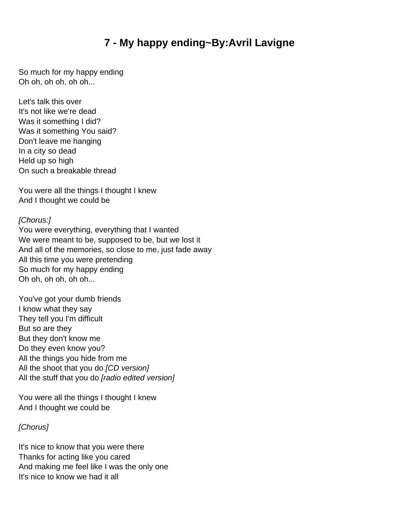# **7 - My happy ending~By:Avril Lavigne**

<span id="page-13-0"></span>So much for my happy ending Oh oh, oh oh, oh oh...

Let's talk this over It's not like we're dead Was it something I did? Was it something You said? Don't leave me hanging In a city so dead Held up so high On such a breakable thread

You were all the things I thought I knew And I thought we could be

### [Chorus:]

You were everything, everything that I wanted We were meant to be, supposed to be, but we lost it And all of the memories, so close to me, just fade away All this time you were pretending So much for my happy ending Oh oh, oh oh, oh oh...

You've got your dumb friends I know what they say They tell you I'm difficult But so are they But they don't know me Do they even know you? All the things you hide from me All the shoot that you do [CD version] All the stuff that you do [radio edited version]

You were all the things I thought I knew And I thought we could be

### [Chorus]

It's nice to know that you were there Thanks for acting like you cared And making me feel like I was the only one It's nice to know we had it all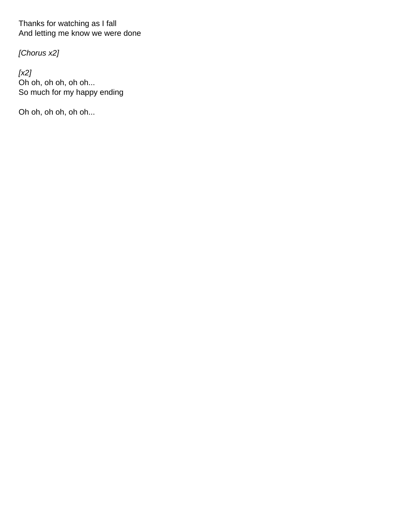Thanks for watching as I fall And letting me know we were done

[Chorus x2]

[x2] Oh oh, oh oh, oh oh... So much for my happy ending

Oh oh, oh oh, oh oh...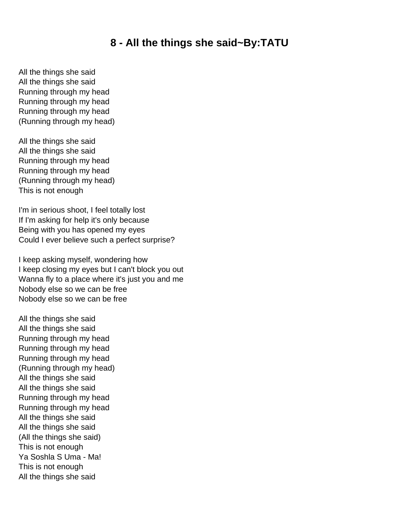## **8 - All the things she said~By:TATU**

<span id="page-15-0"></span>All the things she said All the things she said Running through my head Running through my head Running through my head (Running through my head)

All the things she said All the things she said Running through my head Running through my head (Running through my head) This is not enough

I'm in serious shoot, I feel totally lost If I'm asking for help it's only because Being with you has opened my eyes Could I ever believe such a perfect surprise?

I keep asking myself, wondering how I keep closing my eyes but I can't block you out Wanna fly to a place where it's just you and me Nobody else so we can be free Nobody else so we can be free

All the things she said All the things she said Running through my head Running through my head Running through my head (Running through my head) All the things she said All the things she said Running through my head Running through my head All the things she said All the things she said (All the things she said) This is not enough Ya Soshla S Uma - Ma! This is not enough All the things she said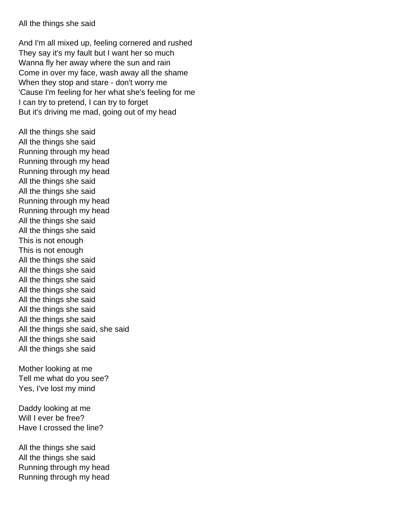#### All the things she said

And I'm all mixed up, feeling cornered and rushed They say it's my fault but I want her so much Wanna fly her away where the sun and rain Come in over my face, wash away all the shame When they stop and stare - don't worry me 'Cause I'm feeling for her what she's feeling for me I can try to pretend, I can try to forget But it's driving me mad, going out of my head

All the things she said All the things she said Running through my head Running through my head Running through my head All the things she said All the things she said Running through my head Running through my head All the things she said All the things she said This is not enough This is not enough All the things she said All the things she said All the things she said All the things she said All the things she said All the things she said All the things she said All the things she said, she said All the things she said All the things she said

Mother looking at me Tell me what do you see? Yes, I've lost my mind

Daddy looking at me Will I ever be free? Have I crossed the line?

All the things she said All the things she said Running through my head Running through my head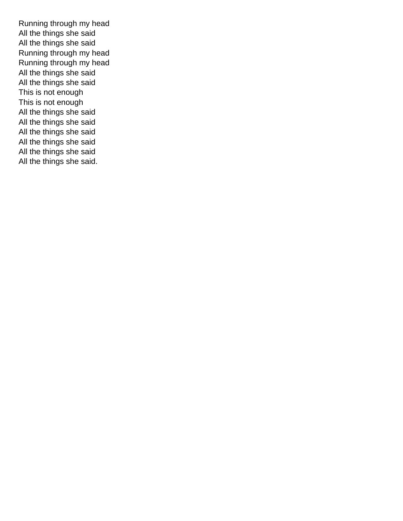Running through my head All the things she said All the things she said Running through my head Running through my head All the things she said All the things she said This is not enough This is not enough All the things she said All the things she said All the things she said All the things she said All the things she said All the things she said.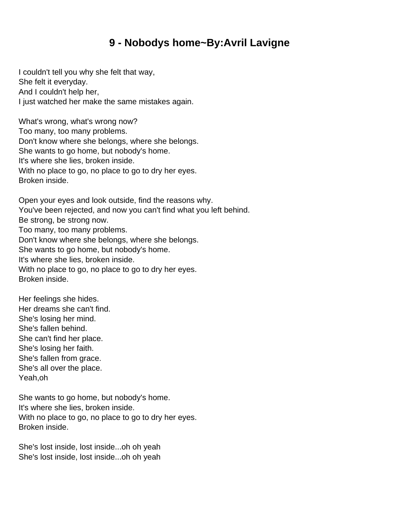# **9 - Nobodys home~By:Avril Lavigne**

<span id="page-18-0"></span>I couldn't tell you why she felt that way, She felt it everyday. And I couldn't help her, I just watched her make the same mistakes again.

What's wrong, what's wrong now? Too many, too many problems. Don't know where she belongs, where she belongs. She wants to go home, but nobody's home. It's where she lies, broken inside. With no place to go, no place to go to dry her eyes. Broken inside.

Open your eyes and look outside, find the reasons why. You've been rejected, and now you can't find what you left behind. Be strong, be strong now. Too many, too many problems. Don't know where she belongs, where she belongs. She wants to go home, but nobody's home. It's where she lies, broken inside. With no place to go, no place to go to dry her eyes. Broken inside.

Her feelings she hides. Her dreams she can't find. She's losing her mind. She's fallen behind. She can't find her place. She's losing her faith. She's fallen from grace. She's all over the place. Yeah,oh

She wants to go home, but nobody's home. It's where she lies, broken inside. With no place to go, no place to go to dry her eyes. Broken inside.

She's lost inside, lost inside...oh oh yeah She's lost inside, lost inside...oh oh yeah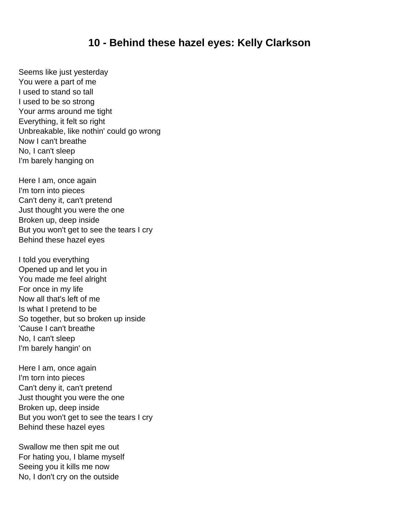## **10 - Behind these hazel eyes: Kelly Clarkson**

<span id="page-19-0"></span>Seems like just yesterday You were a part of me I used to stand so tall I used to be so strong Your arms around me tight Everything, it felt so right Unbreakable, like nothin' could go wrong Now I can't breathe No, I can't sleep I'm barely hanging on

Here I am, once again I'm torn into pieces Can't deny it, can't pretend Just thought you were the one Broken up, deep inside But you won't get to see the tears I cry Behind these hazel eyes

I told you everything Opened up and let you in You made me feel alright For once in my life Now all that's left of me Is what I pretend to be So together, but so broken up inside 'Cause I can't breathe No, I can't sleep I'm barely hangin' on

Here I am, once again I'm torn into pieces Can't deny it, can't pretend Just thought you were the one Broken up, deep inside But you won't get to see the tears I cry Behind these hazel eyes

Swallow me then spit me out For hating you, I blame myself Seeing you it kills me now No, I don't cry on the outside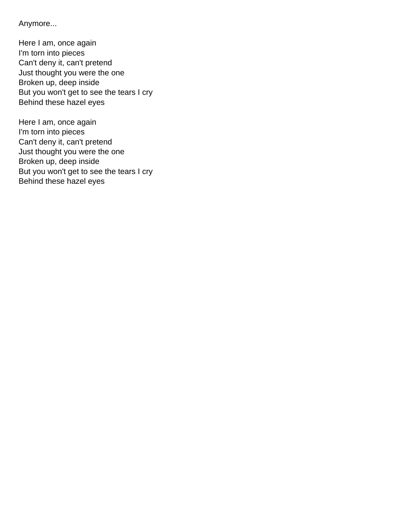Anymore...

Here I am, once again I'm torn into pieces Can't deny it, can't pretend Just thought you were the one Broken up, deep inside But you won't get to see the tears I cry Behind these hazel eyes

Here I am, once again I'm torn into pieces Can't deny it, can't pretend Just thought you were the one Broken up, deep inside But you won't get to see the tears I cry Behind these hazel eyes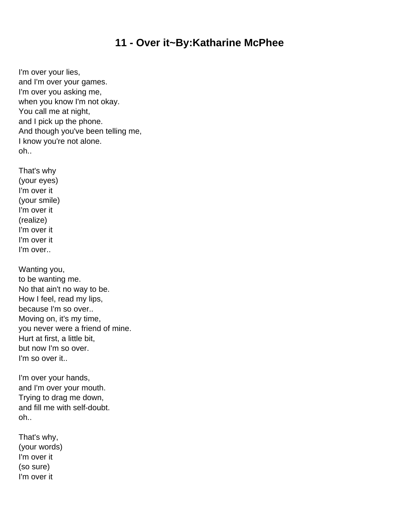## **11 - Over it~By:Katharine McPhee**

<span id="page-21-0"></span>I'm over your lies, and I'm over your games. I'm over you asking me, when you know I'm not okay. You call me at night, and I pick up the phone. And though you've been telling me, I know you're not alone. oh..

That's why (your eyes) I'm over it (your smile) I'm over it (realize) I'm over it I'm over it I'm over..

Wanting you, to be wanting me. No that ain't no way to be. How I feel, read my lips, because I'm so over.. Moving on, it's my time, you never were a friend of mine. Hurt at first, a little bit, but now I'm so over. I'm so over it..

I'm over your hands, and I'm over your mouth. Trying to drag me down, and fill me with self-doubt. oh..

That's why, (your words) I'm over it (so sure) I'm over it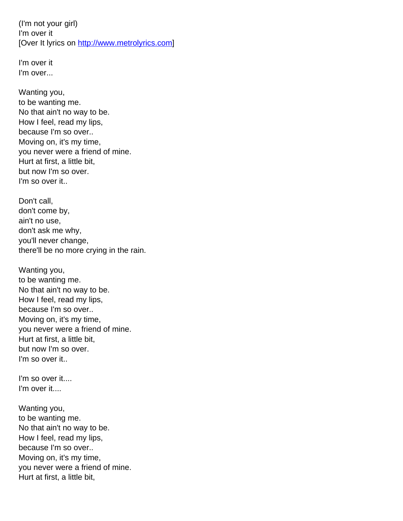(I'm not your girl) I'm over it [Over It lyrics on [http://www.metrolyrics.com\]](http://www.metrolyrics.com/)

I'm over it I'm over...

Wanting you, to be wanting me. No that ain't no way to be. How I feel, read my lips, because I'm so over.. Moving on, it's my time, you never were a friend of mine. Hurt at first, a little bit, but now I'm so over. I'm so over it..

Don't call, don't come by, ain't no use, don't ask me why, you'll never change, there'll be no more crying in the rain.

Wanting you, to be wanting me. No that ain't no way to be. How I feel, read my lips, because I'm so over.. Moving on, it's my time, you never were a friend of mine. Hurt at first, a little bit, but now I'm so over. I'm so over it..

I'm so over it.... I'm over it....

Wanting you, to be wanting me. No that ain't no way to be. How I feel, read my lips, because I'm so over.. Moving on, it's my time, you never were a friend of mine. Hurt at first, a little bit,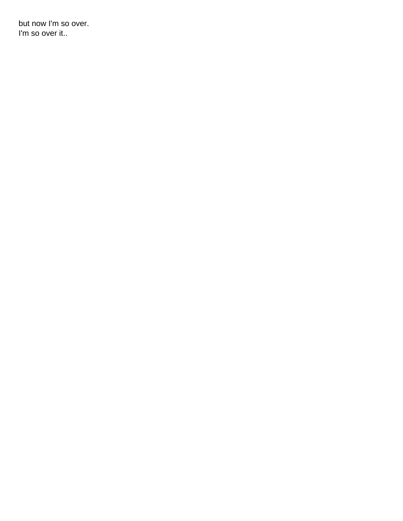but now I'm so over. I'm so over it..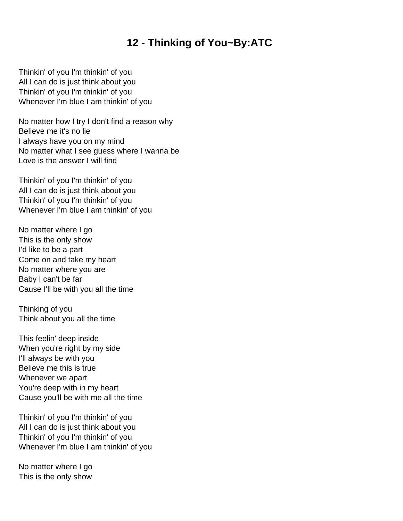# **12 - Thinking of You~By:ATC**

<span id="page-24-0"></span>Thinkin' of you I'm thinkin' of you All I can do is just think about you Thinkin' of you I'm thinkin' of you Whenever I'm blue I am thinkin' of you

No matter how I try I don't find a reason why Believe me it's no lie I always have you on my mind No matter what I see guess where I wanna be Love is the answer I will find

Thinkin' of you I'm thinkin' of you All I can do is just think about you Thinkin' of you I'm thinkin' of you Whenever I'm blue I am thinkin' of you

No matter where I go This is the only show I'd like to be a part Come on and take my heart No matter where you are Baby I can't be far Cause I'll be with you all the time

Thinking of you Think about you all the time

This feelin' deep inside When you're right by my side I'll always be with you Believe me this is true Whenever we apart You're deep with in my heart Cause you'll be with me all the time

Thinkin' of you I'm thinkin' of you All I can do is just think about you Thinkin' of you I'm thinkin' of you Whenever I'm blue I am thinkin' of you

No matter where I go This is the only show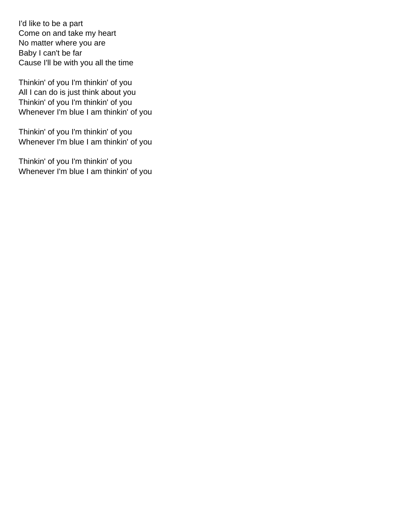I'd like to be a part Come on and take my heart No matter where you are Baby I can't be far Cause I'll be with you all the time

Thinkin' of you I'm thinkin' of you All I can do is just think about you Thinkin' of you I'm thinkin' of you Whenever I'm blue I am thinkin' of you

Thinkin' of you I'm thinkin' of you Whenever I'm blue I am thinkin' of you

Thinkin' of you I'm thinkin' of you Whenever I'm blue I am thinkin' of you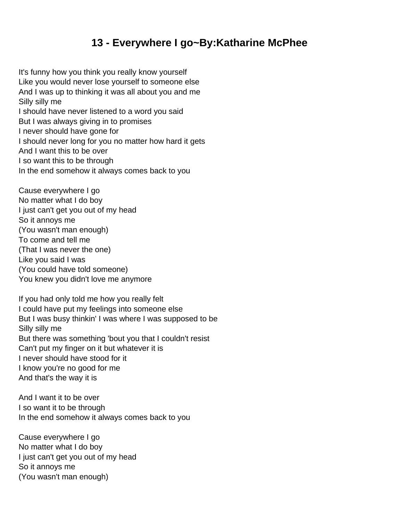## **13 - Everywhere I go~By:Katharine McPhee**

<span id="page-26-0"></span>It's funny how you think you really know yourself Like you would never lose yourself to someone else And I was up to thinking it was all about you and me Silly silly me I should have never listened to a word you said But I was always giving in to promises I never should have gone for I should never long for you no matter how hard it gets And I want this to be over I so want this to be through In the end somehow it always comes back to you

Cause everywhere I go No matter what I do boy I just can't get you out of my head So it annoys me (You wasn't man enough) To come and tell me (That I was never the one) Like you said I was (You could have told someone) You knew you didn't love me anymore

If you had only told me how you really felt I could have put my feelings into someone else But I was busy thinkin' I was where I was supposed to be Silly silly me But there was something 'bout you that I couldn't resist Can't put my finger on it but whatever it is I never should have stood for it I know you're no good for me And that's the way it is

And I want it to be over I so want it to be through In the end somehow it always comes back to you

Cause everywhere I go No matter what I do boy I just can't get you out of my head So it annoys me (You wasn't man enough)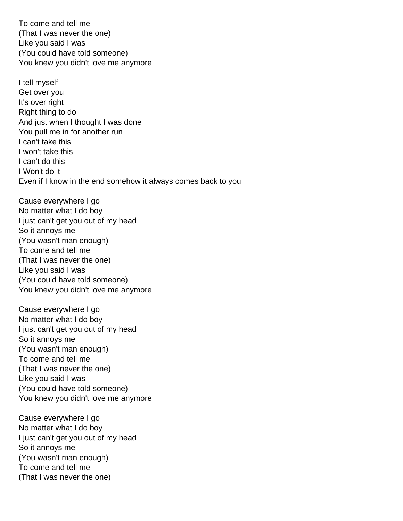To come and tell me (That I was never the one) Like you said I was (You could have told someone) You knew you didn't love me anymore

I tell myself Get over you It's over right Right thing to do And just when I thought I was done You pull me in for another run I can't take this I won't take this I can't do this I Won't do it Even if I know in the end somehow it always comes back to you

Cause everywhere I go No matter what I do boy I just can't get you out of my head So it annoys me (You wasn't man enough) To come and tell me (That I was never the one) Like you said I was (You could have told someone) You knew you didn't love me anymore

Cause everywhere I go No matter what I do boy I just can't get you out of my head So it annoys me (You wasn't man enough) To come and tell me (That I was never the one) Like you said I was (You could have told someone) You knew you didn't love me anymore

Cause everywhere I go No matter what I do boy I just can't get you out of my head So it annoys me (You wasn't man enough) To come and tell me (That I was never the one)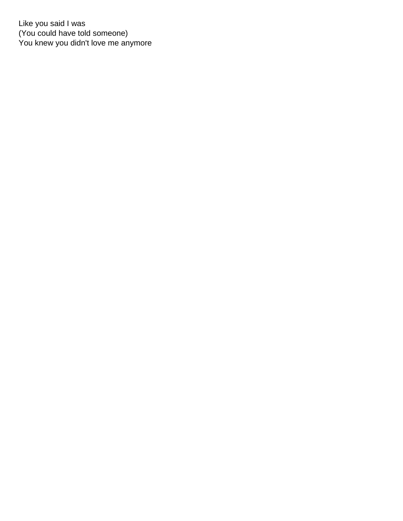Like you said I was (You could have told someone) You knew you didn't love me anymore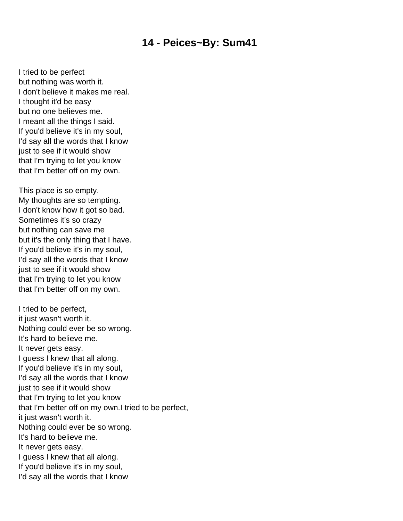## **14 - Peices~By: Sum41**

<span id="page-29-0"></span>I tried to be perfect but nothing was worth it. I don't believe it makes me real. I thought it'd be easy but no one believes me. I meant all the things I said. If you'd believe it's in my soul, I'd say all the words that I know just to see if it would show that I'm trying to let you know that I'm better off on my own.

This place is so empty. My thoughts are so tempting. I don't know how it got so bad. Sometimes it's so crazy but nothing can save me but it's the only thing that I have. If you'd believe it's in my soul, I'd say all the words that I know just to see if it would show that I'm trying to let you know that I'm better off on my own.

I tried to be perfect, it just wasn't worth it. Nothing could ever be so wrong. It's hard to believe me. It never gets easy. I guess I knew that all along. If you'd believe it's in my soul, I'd say all the words that I know just to see if it would show that I'm trying to let you know that I'm better off on my own.I tried to be perfect, it just wasn't worth it. Nothing could ever be so wrong. It's hard to believe me. It never gets easy. I guess I knew that all along. If you'd believe it's in my soul, I'd say all the words that I know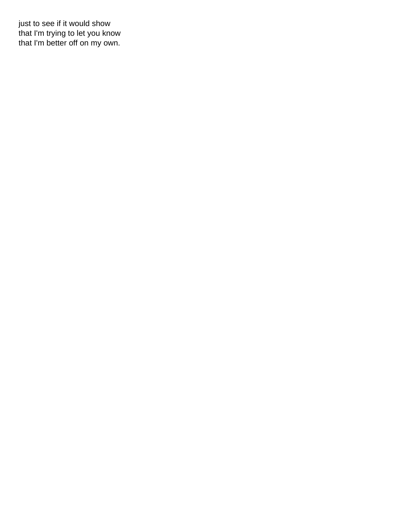just to see if it would show that I'm trying to let you know that I'm better off on my own.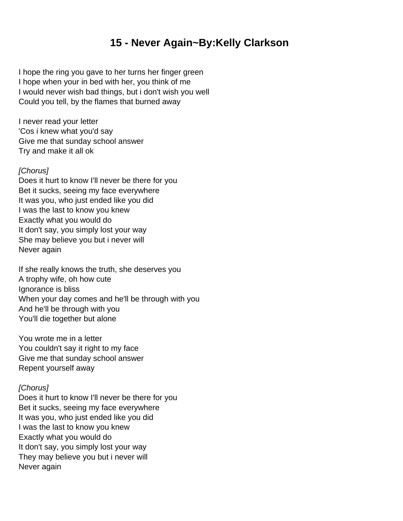# **15 - Never Again~By:Kelly Clarkson**

<span id="page-31-0"></span>I hope the ring you gave to her turns her finger green I hope when your in bed with her, you think of me I would never wish bad things, but i don't wish you well Could you tell, by the flames that burned away

I never read your letter 'Cos i knew what you'd say Give me that sunday school answer Try and make it all ok

### [Chorus]

Does it hurt to know I'll never be there for you Bet it sucks, seeing my face everywhere It was you, who just ended like you did I was the last to know you knew Exactly what you would do It don't say, you simply lost your way She may believe you but i never will Never again

If she really knows the truth, she deserves you A trophy wife, oh how cute Ignorance is bliss When your day comes and he'll be through with you And he'll be through with you You'll die together but alone

You wrote me in a letter You couldn't say it right to my face Give me that sunday school answer Repent yourself away

### [Chorus]

Does it hurt to know I'll never be there for you Bet it sucks, seeing my face everywhere It was you, who just ended like you did I was the last to know you knew Exactly what you would do It don't say, you simply lost your way They may believe you but i never will Never again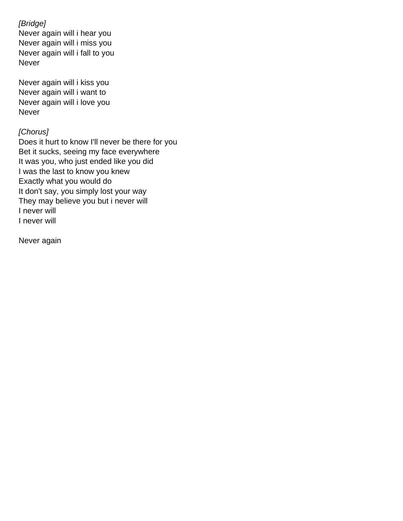## [Bridge]

Never again will i hear you Never again will i miss you Never again will i fall to you Never

Never again will i kiss you Never again will i want to Never again will i love you Never

## [Chorus]

Does it hurt to know I'll never be there for you Bet it sucks, seeing my face everywhere It was you, who just ended like you did I was the last to know you knew Exactly what you would do It don't say, you simply lost your way They may believe you but i never will I never will I never will

Never again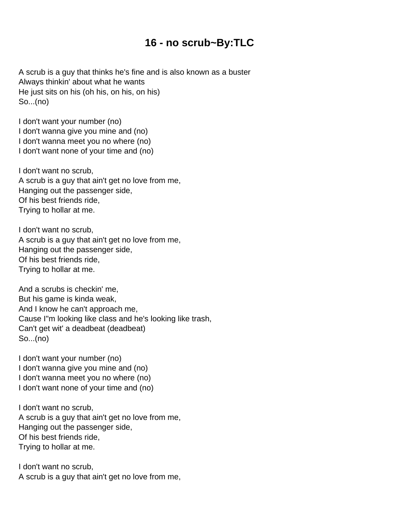# **16 - no scrub~By:TLC**

<span id="page-33-0"></span>A scrub is a guy that thinks he's fine and is also known as a buster Always thinkin' about what he wants He just sits on his (oh his, on his, on his) So...(no)

I don't want your number (no) I don't wanna give you mine and (no) I don't wanna meet you no where (no) I don't want none of your time and (no)

I don't want no scrub, A scrub is a guy that ain't get no love from me, Hanging out the passenger side, Of his best friends ride, Trying to hollar at me.

I don't want no scrub, A scrub is a guy that ain't get no love from me, Hanging out the passenger side, Of his best friends ride, Trying to hollar at me.

And a scrubs is checkin' me, But his game is kinda weak, And I know he can't approach me, Cause I"m looking like class and he's looking like trash, Can't get wit' a deadbeat (deadbeat) So...(no)

I don't want your number (no) I don't wanna give you mine and (no) I don't wanna meet you no where (no) I don't want none of your time and (no)

I don't want no scrub, A scrub is a guy that ain't get no love from me, Hanging out the passenger side, Of his best friends ride, Trying to hollar at me.

I don't want no scrub, A scrub is a guy that ain't get no love from me,